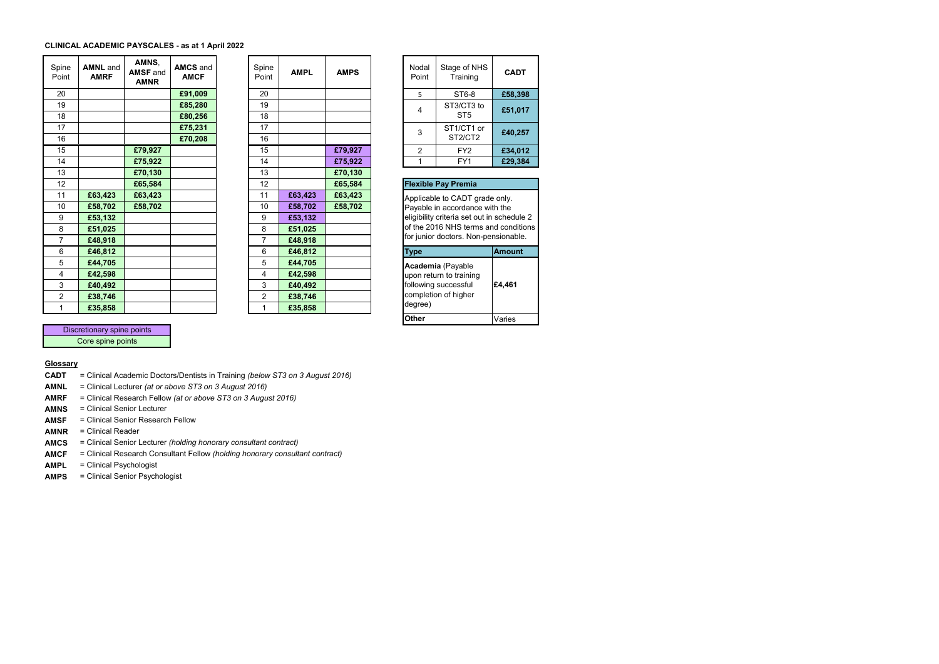## **CLINICAL ACADEMIC PAYSCALES - as at 1 April 2022**

| Spine<br>Point | <b>AMNL</b> and<br><b>AMRF</b> | AMNS.<br><b>AMSF</b> and<br><b>AMNR</b> | <b>AMCS</b> and<br><b>AMCF</b> | Spine<br>Point | <b>AMPL</b> | <b>AMPS</b> | Nodal<br>Point | Stage of NHS<br>Training                   | <b>CADT</b>   |
|----------------|--------------------------------|-----------------------------------------|--------------------------------|----------------|-------------|-------------|----------------|--------------------------------------------|---------------|
| 20             |                                |                                         | £91,009                        | 20             |             |             | 5.             | ST6-8                                      | £58,398       |
| 19             |                                |                                         | £85,280                        | 19             |             |             | 4              | ST3/CT3 to                                 | £51,017       |
| 18             |                                |                                         | £80,256                        | 18             |             |             |                | ST5                                        |               |
| 17             |                                |                                         | £75,231                        | 17             |             |             | 3              | ST1/CT1 or                                 | £40,257       |
| 16             |                                |                                         | £70,208                        | 16             |             |             |                | ST2/CT2                                    |               |
| 15             |                                | £79,927                                 |                                | 15             |             | £79,927     | $\overline{2}$ | FY <sub>2</sub>                            | £34,012       |
| 14             |                                | £75,922                                 |                                | 14             |             | £75,922     | 1              | FY1                                        | £29,384       |
| 13             |                                | £70,130                                 |                                | 13             |             | £70,130     |                |                                            |               |
| 12             |                                | £65,584                                 |                                | 12             |             | £65,584     |                | <b>Flexible Pay Premia</b>                 |               |
| 11             | £63,423                        | £63,423                                 |                                | 11             | £63,423     | £63,423     |                | Applicable to CADT grade only.             |               |
| 10             | £58,702                        | £58,702                                 |                                | 10             | £58,702     | £58,702     |                | Payable in accordance with the             |               |
| 9              | £53,132                        |                                         |                                | 9              | £53,132     |             |                | eligibility criteria set out in schedule 2 |               |
| 8              | £51,025                        |                                         |                                | 8              | £51,025     |             |                | of the 2016 NHS terms and condition        |               |
| 7              | £48,918                        |                                         |                                | 7              | £48,918     |             |                | for junior doctors. Non-pensionable.       |               |
| 6              | £46,812                        |                                         |                                | 6              | £46,812     |             | <b>Type</b>    |                                            | <b>Amount</b> |
| 5              | £44,705                        |                                         |                                | 5              | £44,705     |             |                | Academia (Payable                          |               |
| $\overline{4}$ | £42,598                        |                                         |                                | 4              | £42,598     |             |                | upon return to training                    |               |
| 3              | £40,492                        |                                         |                                | 3              | £40,492     |             |                | following successful                       | £4,461        |
| 2              | £38,746                        |                                         |                                | $\overline{2}$ | £38,746     |             |                | completion of higher                       |               |
| 1              | £35,858                        |                                         |                                | 1              | £35,858     |             | degree)        |                                            |               |
|                |                                |                                         |                                |                |             |             |                |                                            |               |

| Spine<br>Point | <b>AMPL</b> | <b>AMPS</b> | Nodal<br>Point     |
|----------------|-------------|-------------|--------------------|
| 20             |             |             | 5                  |
| 19             |             |             | 4                  |
| 18             |             |             |                    |
| 17             |             |             | 3                  |
| 16             |             |             |                    |
| 15             |             | £79,927     | 2                  |
| 14             |             | £75,922     | $\overline{1}$     |
| 13             |             | £70,130     |                    |
| 12             |             | £65,584     | Flexible           |
| 11             | £63,423     | £63,423     | Applical           |
| 10             | £58,702     | £58,702     | Payable            |
| 9              | £53,132     |             | eligibility        |
| 8              | £51,025     |             | of the 2           |
| 7              | £48,918     |             | for junio          |
| 6              | £46,812     |             | <b>Type</b>        |
| 5              | £44,705     |             | Acaden             |
| 4              | £42,598     |             | upon re            |
| 3              | £40,492     |             | following          |
|                |             |             |                    |
| 2              | £38,746     |             | complet<br>degree) |

| <b>CADT</b> | Stage of NHS<br>Training      | Nodal<br>Point |
|-------------|-------------------------------|----------------|
| £58,398     | ST6-8                         | 5              |
| £51,017     | ST3/CT3 to<br>ST <sub>5</sub> |                |
| £40.257     | ST1/CT1 or<br>ST2/CT2         | 3              |
| £34,012     | FY <sub>2</sub>               | $\overline{2}$ |
| £29.384     | FY1                           |                |
|             |                               |                |

| Flexible Pay Premia                          |                                                                                                                                                                                                |  |  |  |  |  |  |
|----------------------------------------------|------------------------------------------------------------------------------------------------------------------------------------------------------------------------------------------------|--|--|--|--|--|--|
|                                              | Applicable to CADT grade only.<br>Payable in accordance with the<br>eligibility criteria set out in schedule 2<br>of the 2016 NHS terms and conditions<br>for junior doctors. Non-pensionable. |  |  |  |  |  |  |
|                                              | Amount                                                                                                                                                                                         |  |  |  |  |  |  |
| Academia (Payable<br>upon return to training |                                                                                                                                                                                                |  |  |  |  |  |  |

**Other**

Varies

Discretionary spine points Core spine points

## **Glossary**

- **CADT** = Clinical Academic Doctors/Dentists in Training *(below ST3 on 3 August 2016)*
- **AMNL** = Clinical Lecturer *(at or above ST3 on 3 August 2016)*
- **AMRF** = Clinical Research Fellow *(at or above ST3 on 3 August 2016)*
- **AMNS** = Clinical Senior Lecturer
- **AMSF** = Clinical Senior Research Fellow
- **AMNR** = Clinical Reader
- **AMCS** = Clinical Senior Lecturer *(holding honorary consultant contract)*
- **AMCF** = Clinical Research Consultant Fellow *(holding honorary consultant contract)*
- **AMPL** = Clinical Psychologist
- **AMPS** = Clinical Senior Psychologist